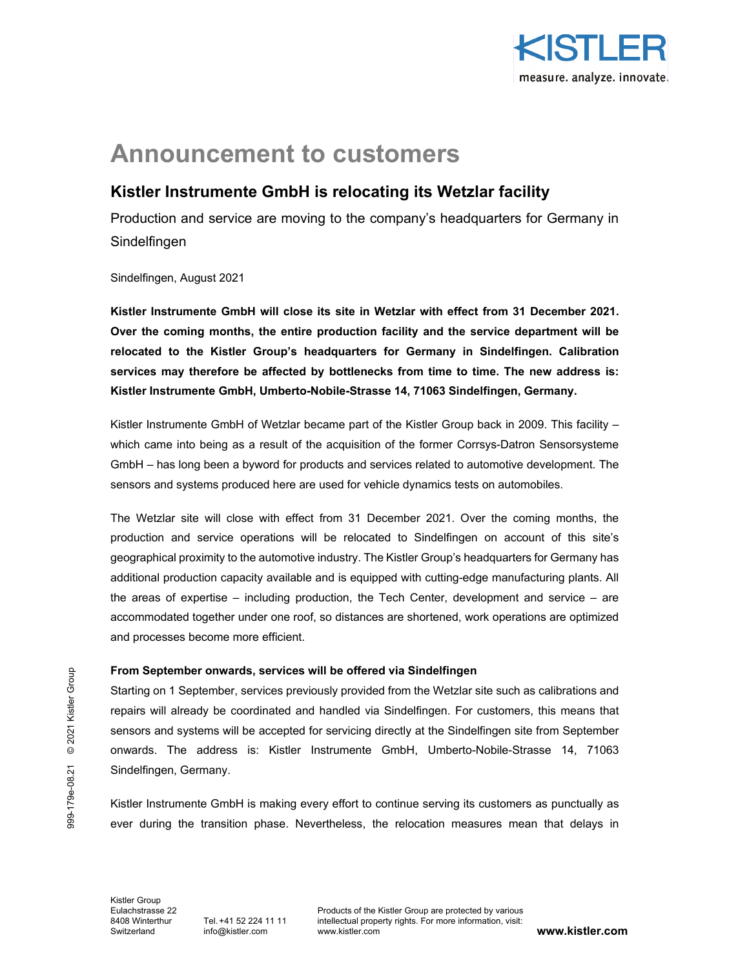

# **Announcement to customers**

## **Kistler Instrumente GmbH is relocating its Wetzlar facility**

Production and service are moving to the company's headquarters for Germany in Sindelfingen

Sindelfingen, August 2021

**Kistler Instrumente GmbH will close its site in Wetzlar with effect from 31 December 2021. Over the coming months, the entire production facility and the service department will be relocated to the Kistler Group's headquarters for Germany in Sindelfingen. Calibration services may therefore be affected by bottlenecks from time to time. The new address is: Kistler Instrumente GmbH, Umberto-Nobile-Strasse 14, 71063 Sindelfingen, Germany.** 

Kistler Instrumente GmbH of Wetzlar became part of the Kistler Group back in 2009. This facility – which came into being as a result of the acquisition of the former Corrsys-Datron Sensorsysteme GmbH – has long been a byword for products and services related to automotive development. The sensors and systems produced here are used for vehicle dynamics tests on automobiles.

The Wetzlar site will close with effect from 31 December 2021. Over the coming months, the production and service operations will be relocated to Sindelfingen on account of this site's geographical proximity to the automotive industry. The Kistler Group's headquarters for Germany has additional production capacity available and is equipped with cutting-edge manufacturing plants. All the areas of expertise – including production, the Tech Center, development and service – are accommodated together under one roof, so distances are shortened, work operations are optimized and processes become more efficient.

### **From September onwards, services will be offered via Sindelfingen**

Starting on 1 September, services previously provided from the Wetzlar site such as calibrations and repairs will already be coordinated and handled via Sindelfingen. For customers, this means that sensors and systems will be accepted for servicing directly at the Sindelfingen site from September onwards. The address is: Kistler Instrumente GmbH, Umberto-Nobile-Strasse 14, 71063 Sindelfingen, Germany.

Kistler Instrumente GmbH is making every effort to continue serving its customers as punctually as ever during the transition phase. Nevertheless, the relocation measures mean that delays in

Kistler Group Switzerland info@kistler.com